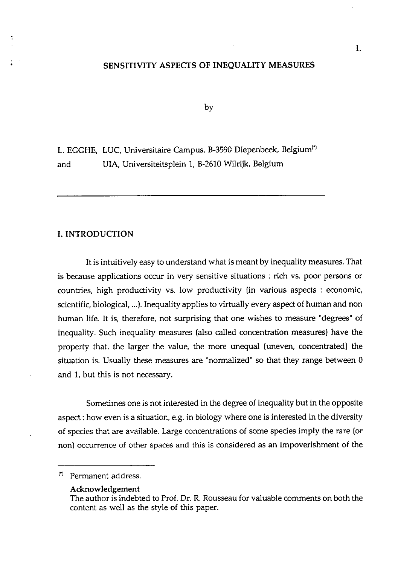# SENSITIVITY ASPECTS OF INEQUALITY MEASURES

by

L. EGGHE, LUC, Universitaire Campus, B-3590 Diepenbeek, Belgium<sup>(\*)</sup> and UIA, Universiteitsplein **1,** B-2610 Wilrijk, Belgium

# I. INTRODUCTION

It is intuitively easy to understand what is meant by inequality measures. That is because applications occur in very sensitive situations : rich vs. poor persons or countries, high productivity vs. low productivity (in various aspects : economic, scientific, biological, ...). Inequality applies to virtually every aspect of human and non human life. It is, therefore, not surprising that one wishes to measure "degrees" of inequality. Such inequality measures (also called concentration measures) have the property that, the larger the value, the more unequal [uneven, concentrated) the situation is. Usually these measures are "normalized" so that they range between 0 and 1, but this is not necessary.

Sometimes one is not interested in the degree of inequality but in the opposite aspect : how even is a situation, e.g. in biology where one is interested in the diversity of species that are available. Large concentrations of some species imply the rare [or non) occurrence of other spaces and this is considered as an impoverishment of the

Permanent address.

Acknowledgement

The author is indebted to Prof. Dr. R. Rousseau for valuable comments on both the content as well as the style of this paper.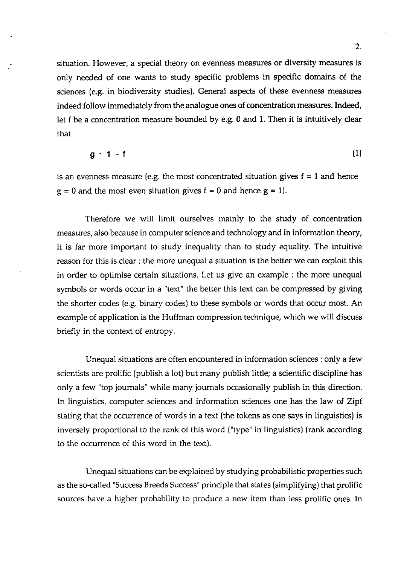situation. However, a special theory on evenness measures or diversity measures is only needed of one wants to study specific problems in specific domains of the sciences (e.g. in biodiversity studies). General aspects of these evenness measures indeed follow immediately from the analogue ones of concentration measures. Indeed, let f be a concentration measure bounded by e.g. 0 and 1. Then it is intuitively clear that

$$
g = 1 - f \tag{1}
$$

is an evenness measure (e.g. the most concentrated situation gives  $f = 1$  and hence  $g = 0$  and the most even situation gives  $f = 0$  and hence  $g = 1$ .

Therefore we will limit ourselves mainly to the study of concentration measures, also because in computer science and technology and in information theory, it is far more important to study inequality than to study equality. The intuitive reason for this is clear : the more unequal a situation is the better we can exploit this in order to optimise certain situations. Let us give an example : the more unequal symbols or words occur in a "text" the better this text can be compressed by giving the shorter codes (e.g. binary codes) to these symbols or words that occur most. An example of application is the Huffman compression technique, which we will discuss briefly in the context of entropy.

Unequal situations are often encountered in information sciences : only a few scientists are prolific (publish a lot) but many publish little; a scientific discipline has only a few "top journals" while many journals occasionally publish in this direction. In linguistics, computer sciences and information sciences one has the law of Zipf stating that the occurrence of words in a text (the tokens as one says in linguistics) is inversely proportional to the rank of this word ("type" in linguistics) (rank according to the occurrence of this word in the text).

Unequal situations can be explained by studying probabilistic properties such as the so-called "Success Breeds Success" principle that states (simplifying) that prolific sources have a higher probability to produce a new item than less prolific ones. In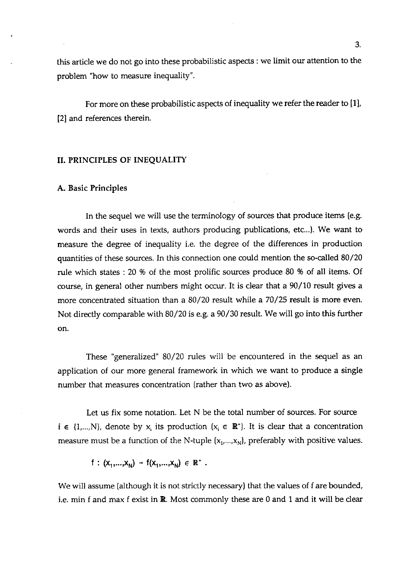this article we do not go into these probabilistic aspects : we limit our attention to the problem "how to measure inequality".

For more on these probabilistic aspects of inequality we refer the reader to [I], [2] and references therein.

#### 11. PRINCIPLES OF INEQUALITY

# **A.** Basic Principles

In the sequel we will use the terminology of sources that produce items (e.g. words and their uses in texts, authors producing publications, etc...). We want to measure the degree of inequality i.e. the degree of the differences in production quantities of these sources. In this connection one could mention the so-called 80/20 rule which states : 20 % of the most prolific sources produce 80 % of all items. Of course, in general other numbers might occur. It is clear that a 90/10 result gives a more concentrated situation than a 80/20 result while a 70/25 result is more even. Not directly comparable with 80/20 is e.g. a 90/30 result. We will go into this further on.

These "generalized" 80/20 rules will be encountered in the sequel as an application of our more general framework in which we want to produce a single number that measures concentration (rather than two as above).

Let us fix some notation. Let N be the total number of sources. For source  $i \in \{1,...,N\}$ , denote by x<sub>i</sub> its production  $(x_i \in \mathbb{R}^+)$ . It is clear that a concentration measure must be a function of the N-tuple  $(x_1,...,x_N)$ , preferably with positive values.

 $f: (x_1,...,x_n) \rightarrow f(x_1,...,x_n) \in \mathbb{R}^+$ .

We will assume (although it is not strictly necessary) that the values of f are bounded, i.e. min f and max f exist in R. Most commonly these are 0 and 1 and it will be **clear**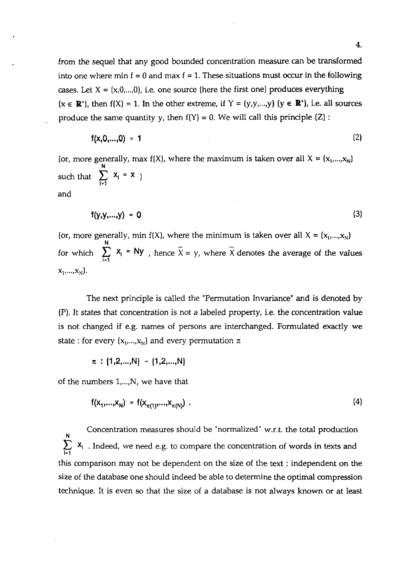from the sequel that any good bounded concentration measure can be transformed into one where min  $f = 0$  and max  $f = 1$ . These situations must occur in the following cases. Let  $X = (x, 0, ..., 0)$ , i.e. one source (here the first one) produces everything  $(x \in \mathbb{R}^+)$ , then  $f(X) = 1$ . In the other extreme, if  $Y = (y,y,...,y)$   $(y \in \mathbb{R}^+)$ , i.e. all sources produce the same quantity y, then  $f(Y) = 0$ . We will call this principle  $(Z)$ :

$$
f(x,0,...,0) = 1
$$
 (2)

(or, more generally, max  $f(X)$ , where the maximum is taken over all  $X = (x_1,...,x_N)$ **N**  such that  $\sum_{i=1}^n X_i = X$ and

$$
f(y,y,...,y) = 0 \tag{3}
$$

(or, more generally, min  $f(X)$ , where the minimum is taken over all  $X = (x_1,...,x_N)$ **N**  for which  $\sum_{i=1}^n x_i = Ny$ , hence  $\overline{X} = y$ , where  $\overline{X}$  denotes the average of the values  $X_1,...,X_N$ ).

The next principle is called the "Permutation Invariance" and is denoted by (P). It states that concentration is not a labeled property, i.e. the concentration value is not changed if e.g. names of persons are interchanged. Formulated exactly we state : for every  $(x_1,...,x_N)$  and every permutation  $\pi$ 

$$
\pi : \{1,2,...,N\} \rightarrow \{1,2,...,N\}
$$

of the numbers  $1, \ldots, N$ , we have that

$$
f(x_1,...,x_N) = f(x_{\pi(1)},...,x_{\pi(N)})
$$
 (4)

Concentration measures should be "normalized" w.r.t. the total production **<sup>N</sup>**  $\sum_{i=1}$   $X_i$ . Indeed, we need e.g. to compare the concentration of words in texts and this comparison may not be dependent on the size of the text : independent on the size of the database one should indeed be able to determine the optimal compression technique. It is even so that the size of a database is not always known or at least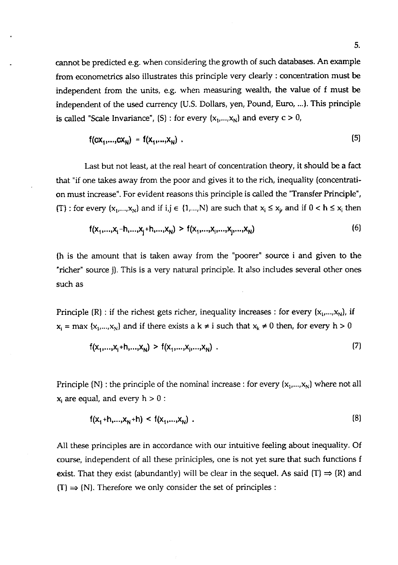cannot be predicted e.g. when considering the growth of such databases. An example from econometrics also illustrates this principle very clearly : concentration must be independent from the units, e.g. when measuring wealth, the value of f must be independent of the used currency (U.S. Dollars, yen, Pound, Euro, ...). This principle is called "Scale Invariance", (S) : for every  $(x_1,...,x_N)$  and every  $c > 0$ ,

$$
f(cx_1,...,cx_N) = f(x_1,...,x_N) .
$$
 (5)

Last but not least, at the real heart of concentration theory, it should be a fact that "if one takes away from the poor and gives it to the rich, inequality (concentration must increase". For evident reasons this principle is called the "Transfer Principle", (T) : for every  $(x_1,...,x_N)$  and if i,j  $\in \{1,...,N\}$  are such that  $x_i \le x_i$ , and if  $0 < h \le x_i$  then

$$
f(x_1,...,x_i-h,...,x_j+h,...,x_N) > f(x_1,...,x_j,...,x_j,...,x_N)
$$
 (6)

(h is the amount that is taken away from the "poorer" source i and given to the "richer" source j). This is a very natural principle. It also includes several other ones such as

Principle (R) : if the richest gets richer, inequality increases : for every  $(x_1,...,x_N)$ , if  $x_i = \max \{x_1,...,x_N\}$  and if there exists a  $k \neq i$  such that  $x_k \neq 0$  then, for every  $h > 0$ 

$$
f(x_1,...,x_i+h,...,x_N) > f(x_1,...,x_i,...,x_N) . \tag{7}
$$

Principle (N) : the principle of the nominal increase : for every  $(x_1,...,x_N)$  where not all  $x_i$  are equal, and every  $h > 0$ :

$$
f(x_1+h,...,x_N+h) < f(x_1,...,x_N) \tag{8}
$$

All these principles are in accordance with our intuitive feeling about inequality. Of course, independent of all these priniciples, one is not yet sure that such functions f exist. That they exist (abundantly) will be clear in the sequel. As said  $(T) \Rightarrow (R)$  and  $(T) \Rightarrow (N)$ . Therefore we only consider the set of principles :

 $\overline{a}$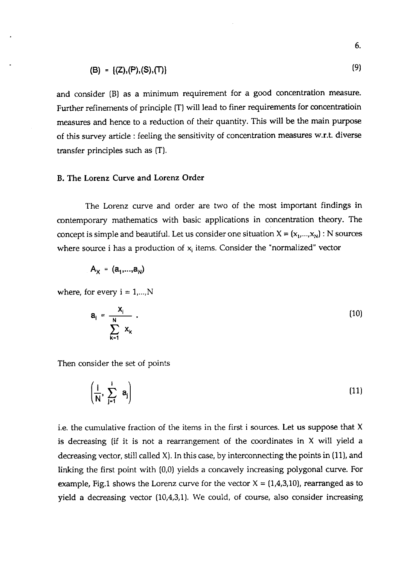(B) = {
$$
(Z)
$$
, (P), (S), (T)}

and consider (B) as a minimum requirement for a good concentration measure. Further refinements of principle (T) will lead to finer requirements for concentratioin measures and hence to a reduction of their quantity. This will be the main purpose of this survey article : feeling the sensitivity of concentration measures w.r.t. diverse transfer principles such as (T).

### B. The Lorenz Curve and Lorenz Order

The Lorenz curve and order are two of the most important findings in contemporary mathematics with basic applications in concentration theory. The concept is simple and beautiful. Let us consider one situation  $X = (x_1,...,x_N)$ : N sources where source i has a production of  $x_i$  items. Consider the "normalized" vector

$$
A_X = (a_1,...,a_N)
$$

where, for every  $i = 1,...,N$ 

$$
\mathbf{a}_i = \frac{\mathbf{x}_i}{\sum_{k=1}^N \mathbf{x}_k} \tag{10}
$$

Then consider the set of points

$$
\left(\frac{i}{N}, \sum_{j=1}^{i} a_j\right) \tag{11}
$$

i.e. the cumulative fraction of the items in the first i sources. Let us suppose that X is decreasing (if it is not a rearrangement of the coordinates in  $X$  will yield a decreasing vector, still called  $X$ ). In this case, by interconnecting the points in (11), and linking the first point with (0,O) yields a concavely increasing polygonal curve. For example, Fig.1 shows the Lorenz curve for the vector  $X = \{1,4,3,10\}$ , rearranged as to yield a decreasing vector (10,4,3,1). We could, of course, also consider increasing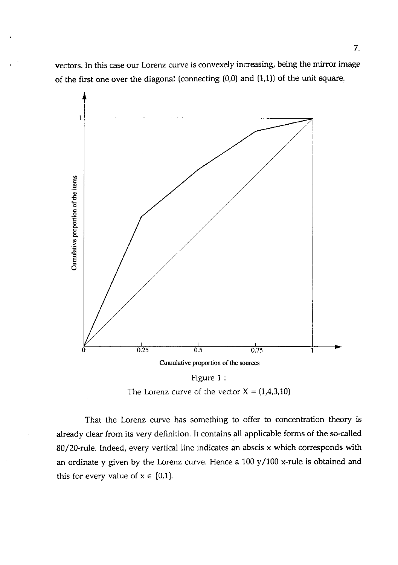vectors. In this case our Lorenz curve is convexely increasing, being the mirror image of the first one over the diagonal (connecting (0,O) and (1,l)) of the unit square.



The Lorenz curve of the vector  $X = (1,4,3,10)$ 

That the Lorenz curve has something to offer to concentration theory is already clear from its very definition. It contains all applicable forms of the so-called 80/20-rule. Indeed, every vertical line indicates an abscis x which corresponds with an ordinate y given by the Lorenz curve. Hence a 100 y/100 x-rule is obtained and this for every value of  $x \in [0,1]$ .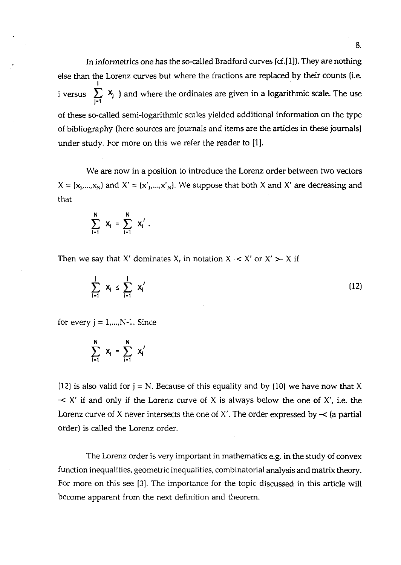In informetrics one has the so-called Bradford curves (cf.[1]). They are nothing else than the Lorenz curves but where the fractions are replaced by their counts (i.e. **I**  i versus  $\sum_{i} x_i$  ) and where the ordinates are given in a logarithmic scale. The use 1'1 of these so-called semi-logarithmic scales yielded additional information on the type of bibliography (here sources are journals and items are the articles in these journals) under study. For more on this we refer the reader to [I].

We are now in a position to introduce the Lorenz order between two vectors  $X = (x_1,...,x_N)$  and  $X' = (x'_1,...,x'_N)$ . We suppose that both X and X' are decreasing and that

$$
\sum_{i=1}^{N} x_{i} = \sum_{i=1}^{N} x_{i}.
$$

Then we say that X' dominates X, in notation  $X \sim X'$  or  $X' \succ X$  if

$$
\sum_{i=1}^{j} \mathbf{x}_{i} \leq \sum_{i=1}^{j} \mathbf{x}'_{i}
$$
 (12)

for every  $j = 1,..., N-1$ . Since

$$
\sum_{i=1}^N x_i = \sum_{i=1}^N x'_i
$$

(12) is also valid for  $j = N$ . Because of this equality and by (10) we have now that X  $\prec$  X' if and only if the Lorenz curve of X is always below the one of X', i.e. the Lorenz curve of X never intersects the one of X'. The order expressed by  $\prec$  (a partial order) is called the Lorenz order.

The Lorenz order is very important in mathematics e.g. in the study of convex function inequalities, geometric inequalities, combinatorial analysis and matrix theory. For more on this see **[3].** The importance for the topic discussed in this article will become apparent from the next definition and theorem.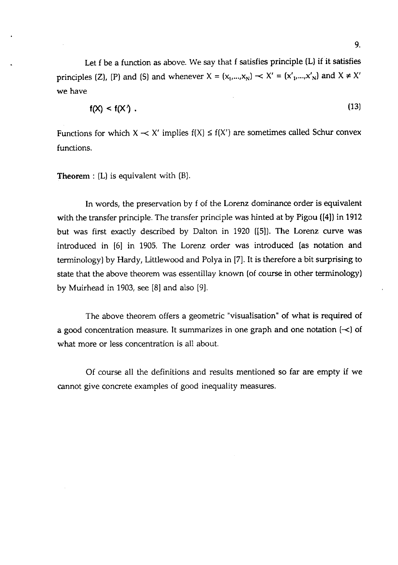Let f be a function as above. We say that f satisfies principle (L) if it satisfies principles (Z), (P) and (S) and whenever  $X = (x_1,...,x_N) \sim X' = (x'_1,...,x'_N)$  and  $X \neq X'$ we have

$$
f(X) < f(X') \tag{13}
$$

Functions for which  $X \sim X'$  implies  $f(X) \le f(X')$  are sometimes called Schur convex functions.

## Theorem : (L) is equivalent with (B).

In words, the preservation by f of the Lorenz dominance order is equivalent with the transfer principle. The transfer principle was hinted at by Pigou **([4])** in 1912 but was first exactly described by Dalton in 1920 **([5]).** The Lorenz curve was introduced in [6] in 1905. The Lorenz order was introduced (as notation and terminology) by Hardy, Littlewood and Polya in [7]. It is therefore a bit surprising to state that the above theorem was essentillay known (of course in other terminology) by Muirhead in 1903, see  $[8]$  and also  $[9]$ .

The above theorem offers a geometric "visualisation" of what is required of a good concentration measure. It summarizes in one graph and one notation  $\left\{ \prec \right\}$  of what more or less concentration is all about.

Of course all the definitions and results mentioned so far are empty if we cannot give concrete examples of good inequality measures.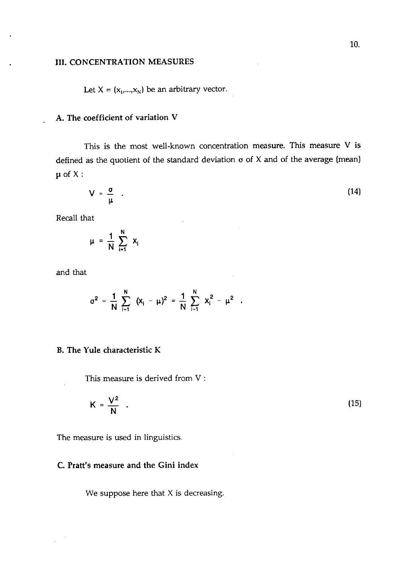#### 111. CONCENTRATION MEASURES

Let  $X = (x_1,...,x_N)$  be an arbitrary vector.

# A. The coefficient of variation V

This is the most well-known concentration measure. This measure V is defined as the quotient of the standard deviation **o** of X and of the average (mean)  $\mu$  of X:

$$
V = \frac{\sigma}{\mu} \quad . \tag{14}
$$

Recall that

$$
\mu = \frac{1}{N} \sum_{i=1}^{N} x_i
$$

and that

$$
\sigma^2 = \frac{1}{N} \sum_{i=1}^N (x_i - \mu)^2 = \frac{1}{N} \sum_{i=1}^N x_i^2 - \mu^2.
$$

# B. The Yule characteristic K

This measure is derived from V :

$$
K = \frac{V^2}{N} \quad . \tag{15}
$$

The measure is used in linguistics.

# C. Pratt's measure and the Gini index

We suppose here that  $X$  is decreasing.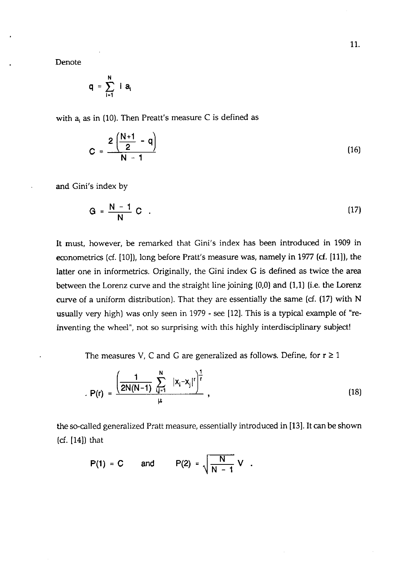Denote

$$
q = \sum_{i=1}^N i a_i
$$

with **a,** as in (10). Then Preatt's measure C is defined as

$$
C = \frac{2\left(\frac{N+1}{2} - q\right)}{N-1}
$$
 (16)

and Gini's index by

$$
G = \frac{N-1}{N} C \quad . \tag{17}
$$

It must, however, be remarked that Gini's index has been introduced in 1909 in econometrics (cf. [lo]), long before Pratt's measure was, namely in 1977 **(cf.** [Ill), the latter one in informetrics. Originally, the Gini index G is defined as twice the area between the Lorenz curve and the straight line joining  $(0,0)$  and  $(1,1)$  (i.e. the Lorenz curve of a uniform distribution). That they are essentially the same *(6.* (17) with N usually very high) was only seen in 1979 - see [12]. This is a typical example of "reinventing the wheel", not so surprising with this highly interdisciplinary subject!

The measures V, C and G are generalized as follows. Define, for  $r \ge 1$ 

$$
P(r) = \frac{\left(\frac{1}{2N(N-1)}\sum_{i,j=1}^{N} |x_i - x_j|^r\right)^{\frac{1}{r}}}{\mu},
$$
\n(18)

the so-called generalized Pratt measure, essentially introduced in [13]. It can be shown *(6.* [14]) that

$$
P(1) = C \quad \text{and} \quad P(2) = \sqrt{\frac{N}{N-1}} V.
$$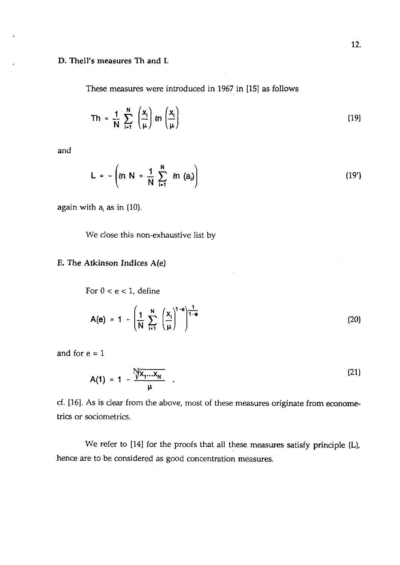## **D. Theil's measures Th and L**

These measures were introduced in **1967** in **[15]** as follows

$$
Th = \frac{1}{N} \sum_{i=1}^{N} \left(\frac{x_i}{\mu}\right) \ln \left(\frac{x_i}{\mu}\right)
$$
 (19)

and

$$
L = -\left(\ln N + \frac{1}{N} \sum_{i=1}^{N} \ln (a_i)\right)
$$
 (19')

again with  $a_i$  as in (10).

We close this non-exhaustive list by

# **E. The Atkinson Indices A(e)**

For  $0 < e < 1$ , define

$$
A(e) = 1 - \left(\frac{1}{N} \sum_{i=1}^{N} \left(\frac{x_i}{\mu}\right)^{1-e}\right)^{\frac{1}{1-e}}
$$
 (20)

and for  $e = 1$ 

$$
A(1) = 1 - \frac{Nx_1...x_N}{\mu} \quad .
$$
 (21)

cf. **[16].** As is clear from the above, most of these measures originate from econometrics or sociometrics.

We refer to **[14]** for the proofs that all these measures satisfy principle (L), hence are to be considered as good concentration measures.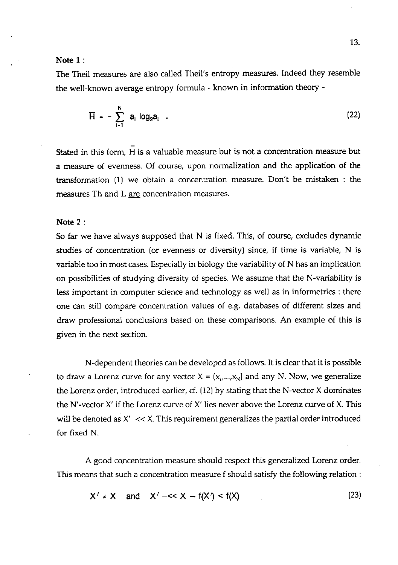### **Note** 1 :

The Theil measures are also called Theil's entropy measures. Indeed they resemble the well-known average entropy formula - known in information theory -

$$
\overline{H} = - \sum_{i=1}^{N} a_i \log_2 a_i
$$
 (22)

Stated in this form, H is a valuable measure but is not a concentration measure but a measure of evenness. Of course, upon normalization and the application of the transformation (1) we obtain a concentration measure. Don't be mistaken : the measures Th and L are concentration measures.

### **Note** 2 :

So far we have always supposed that N is fixed. This, of course, excludes dynamic studies of concentration (or evenness or diversity) since, if time is variable, N is variable too in most cases. Especially in biology the variability of N has an implication on possibilities of studying diversity of species. We assume that the N-variability is less important in computer science and technology as well as in informetrics : there one can still compare concentration values of e.g. databases of different sizes and draw professional conclusions based on these comparisons. An example of this is given in the next section.

N-dependent theories can be developed as follows. It is dear that it is possible to draw a Lorenz curve for any vector  $X = (x_1,...,x_N)$  and any N. Now, we generalize the Lorenz order, introduced earlier, cf. (12) by stating that the N-vector X dominates the N'-vector  $X'$  if the Lorenz curve of  $X'$  lies never above the Lorenz curve of X. This will be denoted as  $X' \ll X$ . This requirement generalizes the partial order introduced for fixed N.

A good concentration measure should respect this generalized Lorenz order. This means that such a concentration measure f should satisfy the following relation :

$$
X' \neq X \quad \text{and} \quad X' \text{---} < X \text{---} f(X') < f(X) \tag{23}
$$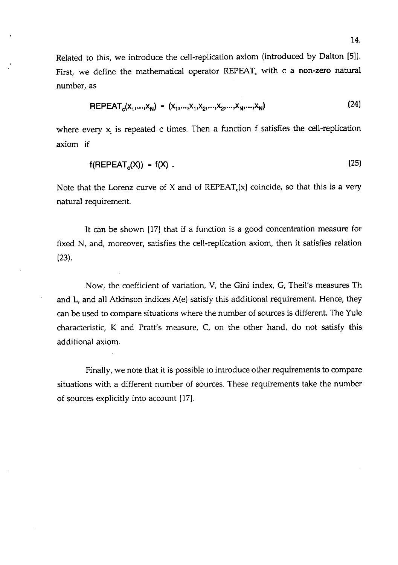Related to this, we introduce the cell-replication axiom (introduced by Dalton **[5]).**  First, we define the mathematical operator  $REPEAT_c$  with c a non-zero natural number, as

$$
REPEAT_c(x_1,...,x_N) = (x_1,...,x_1,x_2,...,x_2,...,x_N,...,x_N)
$$
 (24)

where every  $x_i$  is repeated c times. Then a function f satisfies the cell-replication axiom if

$$
f(\text{REPEAT}_c(X)) = f(X) \tag{25}
$$

Note that the Lorenz curve of X and of  $REPEAT_c(x)$  coincide, so that this is a very natural requirement.

It can be shown **[17]** that if a function is a good concentration measure for fixed N, and, moreover, satisfies the cell-replication axiom, then it satisfies relation **(23).** 

Now, the coefficient of variation, V, the Gini index, G, Theil's measures Th and L, and all Atkinson indices A(e] satisfy this additional requirement. Hence, they can be used to compare situations where the number of sources is different. The Yule characteristic, K and Pratt's measure, C, on the other hand, do not satisfy this additional axiom.

Finally, we note that it is possible to introduce other requirements to compare situations with a different number of sources. These requirements take the number of sources explicitly into account (171.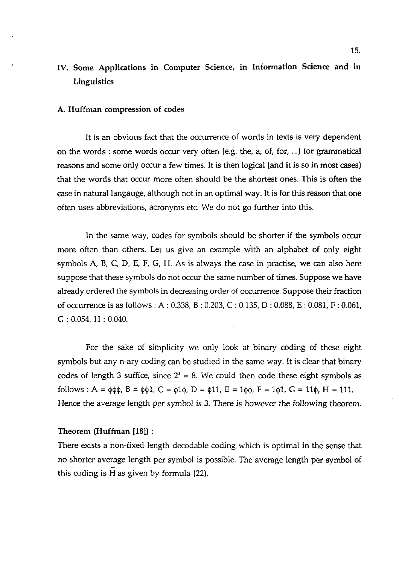# IV. Some Applications in Computer Science, in Information Science and in Linguistics

#### A. Huffman compression of codes

It is an obvious fact that the occurrence of words in texts is very dependent on the words : some words occur very often [e.g. the, a, of, for, ...] for grammatical reasons and some only occur a few times. It is then logical (and it is so in most cases) that the words that occur more often should be the shortest ones. This is often the case in natural langauge, although not in an optimal way. It is for this reason that one often uses abbreviations, acronyms etc. We do not go further into this.

In the same way, codes for symbols should be shorter if the symbols occur more often than others. Let us give an example with an alphabet of only eight symbols **A,** B, C, D, E, F, G, H. As is always the case in practise, we can also here suppose that these symbols do not occur the same number of times. Suppose we have already ordered the symbols in decreasing order of occurrence. Suppose their fraction of occurrence is as follows : A : 0.338, B : 0.203, C : 0.135, D : 0.088, E : 0.081, F : 0.061, <sup>G</sup>: 0.054, H : 0.040.

For the sake of simplicity we only look at binary coding of these eight symbols but any n-ary coding can be studied in the same way. It is clear that binary codes of length 3 suffice, since  $2^3 = 8$ . We could then code these eight symbols as follows :  $A = \phi \phi \phi$ ,  $B = \phi \phi 1$ ,  $C = \phi 1 \phi$ ,  $D = \phi 11$ ,  $E = 1 \phi \phi$ ,  $F = 1 \phi 1$ ,  $G = 11 \phi$ ,  $H = 111$ . Hence the average length per symbol is 3. There is however the following theorem.

#### Theorem (Huffman [18]) :

There exists a non-fixed length decodable coding which is optimal in the sense that no shorter average length per symbol is possible. The average length per symbol of this coding is **fi** as given by formula (22).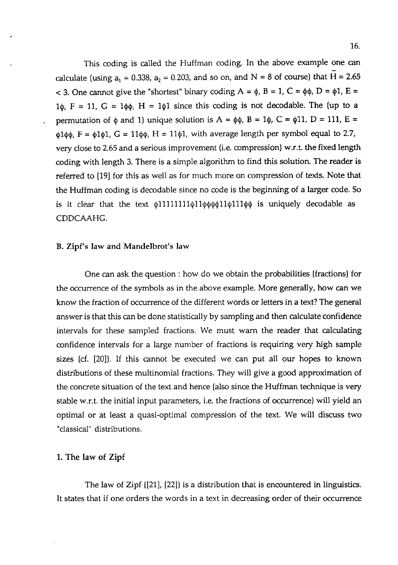This coding is called the Huffman coding. In the above example one can calculate (using  $a_1 = 0.338$ ,  $a_2 = 0.203$ , and so on, and N = 8 of course) that H = 2.65  $<$  3. One cannot give the "shortest" binary coding A =  $\phi$ , B = 1, C =  $\phi\phi$ , D =  $\phi$ 1, E =  $1\phi$ ,  $F = 11$ ,  $G = 1\phi\phi$ ,  $H = 1\phi1$  since this coding is not decodable. The (up to a permutation of  $\phi$  and 1) unique solution is A =  $\phi\phi$ , B = 1 $\phi$ , C =  $\phi$ 11, D = 111, E =  $\phi$ 1 $\phi$ φ, F =  $\phi$ 1 $\phi$ 1, G = 11 $\phi$ φ, H = 11 $\phi$ 1, with average length per symbol equal to 2.7, very close to 2.65 and a serious improvement (i.e. compression] w.r.t. the fixed length coding with length **3.** There is a simple algorithm to find this solution. The reader is referred to [I91 for this as well as for much more on compression of texts. Note that the Huffman coding is decodable since no code is the beginning of a larger code. So is it clear that the text  $\phi$ 111111111 $\phi$ 11 $\phi$  $\phi$  $\phi$ 11 $\phi$ 111 $\phi$  $\phi$  is uniquely decodable as CDDCAAHG.

# B. Zipf's law and Mandelbrot's law

One can ask the question : how do we obtain the probabilities (fractions) for the occurrence of the symbols as in the above example. More generally, how can we know the fraction of occurrence of the different words or letters in a text? The general answer is that this can be done statistically by sampling and then calculate confidence intervals for these sampled fractions. We must warn the reader that calculating confidence intervals for a large number of fractions is requiring very high sample sizes (cf. [20]]. If this cannot be executed we can put all our hopes to known distributions of these multinomial fractions. They will give a good approximation of the concrete situation of the text and hence (also since the Huffman technique is very stable w.r.t. the initial input parameters, i.e. the fractions of occurrence) will yield an optimal or at least a quasi-optimal compression of the text. We will discuss two "classical" distributions.

# 1. The law of **Zipf**

The law of Zipf ([21], [22]) is a distribution that is encountered in linguistics. It states that if one orders the words in a text in decreasing order of their occurrence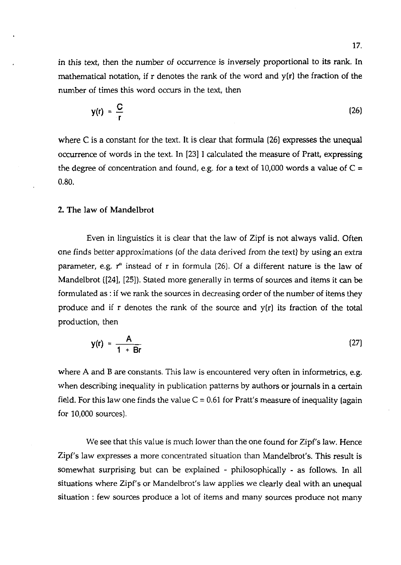in this text, then the number of occurrence is inversely proportional to its rank. In mathematical notation, if  $r$  denotes the rank of the word and  $y(r)$  the fraction of the number of times this word occurs in the text, then

$$
y(r) = \frac{C}{r}
$$
 (26)

where  $C$  is a constant for the text. It is clear that formula  $(26)$  expresses the unequal occurrence of words in the text. In 1231 I calculated the measure of Pratt, expressing the degree of concentration and found, e.g. for a text of  $10,000$  words a value of C = 0.80.

#### **2. The** law of Mandelbrot

Even in linguistics it is clear that the law of Zipf is not always valid. Often one finds better approximations (of the data derived from the text) by using an extra parameter, e.g.  $r^{\alpha}$  instead of r in formula (26). Of a different nature is the law of Mandelbrot ([24], [25]). Stated more generally in terms of sources and items it can be formulated as : if we rank the sources in decreasing order of the number of items they produce and if r denotes the rank of the source and  $y(r)$  its fraction of the total production, then

$$
y(r) = \frac{A}{1 + Br}
$$
 (27)

where A and B are constants. This law is encountered very often in informetrics, e.g. when describing inequality in publication patterns by authors or journals in a certain field. For this law one finds the value  $C = 0.61$  for Pratt's measure of inequality (again for 10,000 sources).

We see that this value is much lower than the one found for Zipf's law. Hence Zipf's law expresses a more concentrated situation than Mandelbrot's. This result is somewhat surprising but can be explained - philosophically - as follows. In all situations where Zipf's or Mandelbrot's law applies we clearly deal with an unequal situation : few sources produce a lot of items and many sources produce not many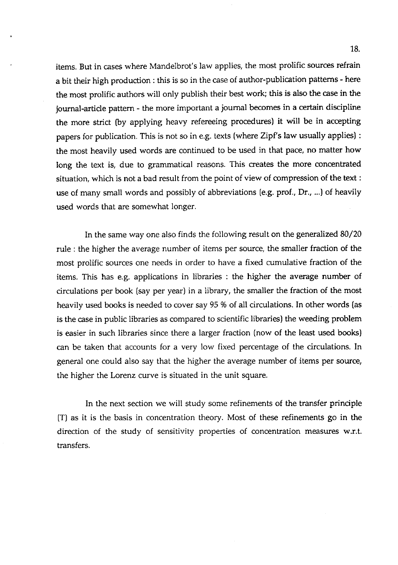items. But in cases where Mandelbrot's law applies, the most prolific sources refrain a bit their high production : this is so in the case of author-publication patterns - here the most prolific authors will only publish their best work; this is also the case in the journal-article pattern - the more important a journal becomes in a certain discipline the more strict (by applying heavy refereeing procedures) it will be in accepting papers for publication. This is not so in e.g. texts (where Zipf's law usually applies) : the most heavily used words are continued to be used in that pace, no matter how long the text is, due to grammatical reasons. This creates the more concentrated situation, which is not a bad result from the point of view of compression of the text : use of many small words and possibly of abbreviations (e.g. prof., Dr., ...) of heavily used words that are somewhat longer.

In the same way one also finds the following result on the generalized 80/20 rule : the higher the average number of items per source, the smaller fraction of the most prolific sources one needs in order to have a fixed cumulative fraction of the items. This has e.g. applications in libraries : the higher the average number of circulations per book [say per year) in a library, the smaller the fraction of the most heavily used books is needed to cover say 95 % of all circulations. In other words (as is the case in public libraries as compared to scientific libraries) the weeding problem is easier in such libraries since there a larger fraction (now of the least used books) can be taken that accounts for a very low fixed percentage of the circulations. In general one could also say that the higher the average number of items per source, the higher the Lorenz curve is situated in the unit square.

In the next section we will study some refinements of the transfer principle (T) as it is the basis in concentration theory. Most of these refinements go in the direction of the study of sensitivity properties of concentration measures w.r.t. transfers.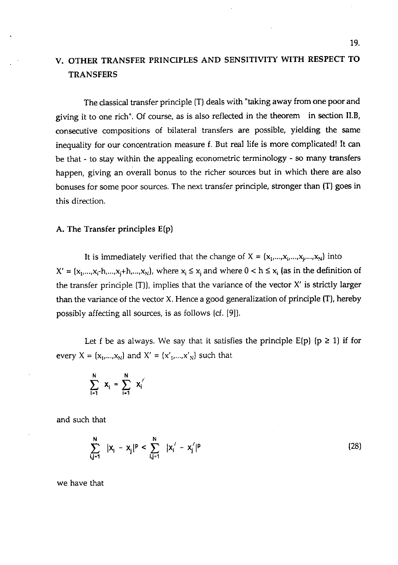# V. OTHER TRANSFER PRINCIPLES AND SENSITIVITY WITH RESPECT TO TRANSFERS

The classical transfer principle [T) deals with "taking away from one poor and giving it to one rich". Of course, as is also reflected in the theorem in section II.B, consecutive compositions of bilateral transfers are possible, yielding the same inequality for our concentration measure f. But real life is more complicated! It **can**  be that - to stay within the appealing econometric terminology - so many transfers happen, giving an overall bonus to the richer sources but in which there are also bonuses for some poor sources. The next transfer principle, stronger than [T) goes in this direction.

#### A. The Transfer principles E(p)

It is immediately verified that the change of  $X = (x_1,...,x_i,...,x_i,...,x_N)$  into  $X' = {x_1,...,x_i-h,...,x_i+h,...,x_N}$ , where  $x_i \le x_i$  and where  $0 < h \le x_i$  (as in the definition of the transfer principle  $(T)$ ), implies that the variance of the vector  $X'$  is strictly larger than the variance of the vector X. Hence a good generalization of principle (T), hereby possibly affecting all sources, is as follows [cf. [9]).

Let f be as always. We say that it satisfies the principle  $E(p)$  ( $p \ge 1$ ) if for every  $X = \{x_1, \ldots, x_N\}$  and  $X' = \{x'_1, \ldots, x'_N\}$  such that

$$
\sum_{i=1}^N x_i = \sum_{i=1}^N x_i'
$$

and such that

$$
\sum_{i,j=1}^{N} |x_{i} - x_{j}|^{p} < \sum_{i,j=1}^{N} |x_{i}' - x_{j}'|^{p} \tag{28}
$$

we have that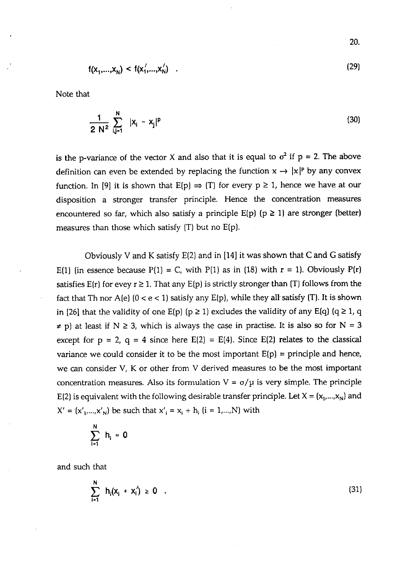$$
f(x_1,...,x_n) < f(x_1',...,x_n') \quad . \tag{29}
$$

Note that

$$
\frac{1}{2 N^2} \sum_{i,j=1}^{N} |x_i - x_j|^p
$$
 (30)

is the p-variance of the vector X and also that it is equal to  $\sigma^2$  if  $p = 2$ . The above definition can even be extended by replacing the function  $x \rightarrow |x|^p$  by any convex function. In [9] it is shown that  $E(p) \Rightarrow (T)$  for every  $p \ge 1$ , hence we have at our disposition a stronger transfer principle. Hence the concentration measures encountered so far, which also satisfy a principle  $E(p)$  ( $p \ge 1$ ) are stronger (better) measures than those which satisfy (T) but no E(p).

Obviously V and K satisfy  $E(2)$  and in [14] it was shown that C and G satisfy E(1) (in essence because  $P(1) = C$ , with  $P(1)$  as in (18) with  $r = 1$ ). Obviously  $P(r)$ satisfies  $E(r)$  for evey  $r \geq 1$ . That any  $E(p)$  is strictly stronger than (T) follows from the fact that Th nor A(e)  $(0 < e < 1)$  satisfy any E(p), while they all satisfy (T). It is shown in [26] that the validity of one  $E(p)$  ( $p \ge 1$ ) excludes the validity of any  $E(q)$  ( $q \ge 1$ , q  $\neq$  p) at least if N  $\geq$  3, which is always the case in practise. It is also so for N = 3 except for  $p = 2$ ,  $q = 4$  since here  $E(2) = E(4)$ . Since  $E(2)$  relates to the classical variance we could consider it to be the most important  $E(p) =$  principle and hence, we can consider V, K or other from V derived measures to be the most important concentration measures. Also its formulation  $V = \sigma/\mu$  is very simple. The principle E(2) is equivalent with the following desirable transfer principle. Let  $X = (x_1,...,x_N)$  and  $X' = (x'_{1},...,x'_{N})$  be such that  $x'_{i} = x_{i} + h_{i}$   $(i = 1,...,N)$  with

$$
\sum_{i=1}^N h_i = 0
$$

and such that

$$
\sum_{i=1}^{N} h_i(x_i + x'_i) \ge 0 \quad . \tag{31}
$$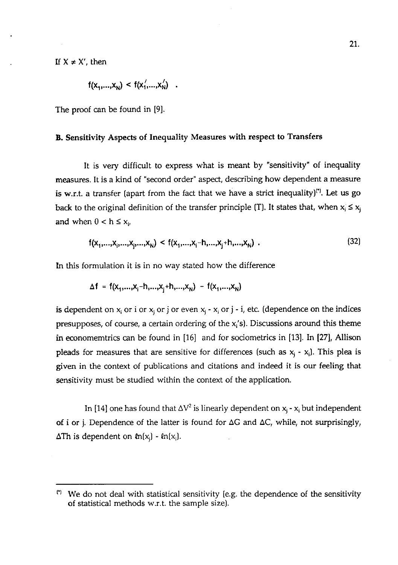If  $X \neq X'$ , then

$$
f(x_1,...,x_N) < f(x'_1,...,x'_N) \quad .
$$

The proof can be found in [9],

# B. Sensitivity Aspects of Inequality Measures with respect to Transfers

It is very difficult to express what is meant by "sensitivity" of inequality measures. It is a kind of "second order" aspect, describing how dependent a measure is w.r.t. a transfer (apart from the fact that we have a strict inequality)"'. Let us go back to the original definition of the transfer principle (T). It states that, when  $x_i \le x_j$ and when  $0 < h \leq x_{i}$ ,

$$
f(x_1,...,x_i,...,x_i,...,x_N) < f(x_1,...,x_i-h,...,x_i+h,...,x_N) \tag{32}
$$

**In** this formulation it is in no way stated how the difference

$$
\Delta f = f(x_1,...,x_i-h,...,x_i+h,...,x_N) - f(x_1,...,x_N)
$$

is dependent on  $x_i$  or i or  $x_j$  or j or even  $x_i - x_j$  or j - i, etc. (dependence on the indices presupposes, of course, a certain ordering of the  $x_i$ 's). Discussions around this theme in economemtrics can be found in [16] and for sociometrics in **[13].** In **[27], Allison**  pleads for measures that are sensitive for differences (such as  $x_i - x_j$ ). This plea is given in the context of publications and citations and indeed it is our feeling that sensitivity must be studied within the context of the application.

In [14] one has found that  $\Delta V^2$  is linearly dependent on  $x_j - x_i$  but independent of i or *i*. Dependence of the latter is found for  $\Delta G$  and  $\Delta C$ , while, not surprisingly, **ATh** is dependent on  $ln(x_i)$  -  $ln(x_i)$ .

<sup>&</sup>quot; We do not deal with statistical sensitivity [e.g. the dependence of the sensitivity of statistical methods w.r.t. the sample size).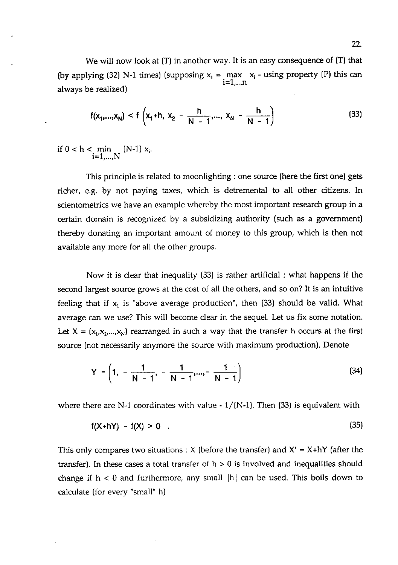We will now look at  $(T)$  in another way. It is an easy consequence of  $(T)$  that (by applying (32) N-1 times) (supposing  $x_1 = \max_{i} x_i - \min_{i} x_i$  - using property (P) this can  $i=1,...n$ always be realized)

$$
f(x_1,...,x_N) < f\left(x_1+h, x_2-\frac{h}{N-1},..., x_N-\frac{h}{N-1}\right)
$$
 (33)

if  $0 < h < \min_{i \in [N-1]} (N-1) x_i$ .  $i=1,...,N$ 

This principle is related to moonlighting : one source (here the first one] gets richer, e.g. by not paying taxes, which is detremental to all other citizens. In scientometrics we have an example whereby the most important research group in a certain domain is recognized by a subsidizing authority (such as a government) thereby donating an important amount of money to this group, which is then not available any more for all the other groups.

Now it is clear that inequality (33) is rather artificial : what happens if the second largest source grows at the cost of all the others, and so on? It is an intuitive feeling that if  $x_1$  is "above average production", then (33) should be valid. What average can we use? This will become clear in the sequel. Let us fix some notation. Let  $X = (x_1, x_2, \ldots, x_N)$  rearranged in such a way that the transfer h occurs at the first source (not necessarily anymore the source with maximum production). Denote

$$
Y = \left(1, -\frac{1}{N-1}, -\frac{1}{N-1}, \dots, -\frac{1}{N-1}\right) \tag{34}
$$

where there are N-1 coordinates with value  $\sim 1/(N-1)$ . Then (33) is equivalent with

$$
f(X+hY) - f(X) > 0 \tag{35}
$$

This only compares two situations : X (before the transfer) and  $X' = X + hY$  (after the transfer). In these cases a total transfer of  $h > 0$  is involved and inequalities should change if  $h < 0$  and furthermore, any small  $|h|$  can be used. This boils down to calculate (for every "small" h)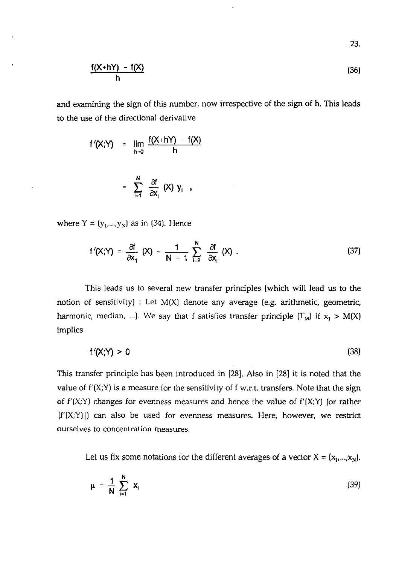$$
\frac{f(X+hY) - f(X)}{h}
$$
 (36)

and examining the sign of this number, now irrespective of the sign of h. This leads to the use of the directional derivative

$$
f'(X;Y) = \lim_{h \to 0} \frac{f(X+hY) - f(X)}{h}
$$

$$
= \sum_{i=1}^{N} \frac{\partial f}{\partial x_i} (X) y_i,
$$

where  $Y = (y_1,...,y_N)$  as in (34). Hence

$$
= \sum_{i=1}^{\infty} \frac{1}{\partial x_i} (X) Y_i,
$$
  

$$
= (y_1,...,y_N) \text{ as in (34). Hence}
$$
  

$$
f'(X;Y) = \frac{\partial f}{\partial x_1} (X) - \frac{1}{N-1} \sum_{i=2}^{N} \frac{\partial f}{\partial x_i} (X).
$$
 (37)

This leads us to several new transfer principles [which will lead us to the notion of sensitivity) : Let  $M(X)$  denote any average (e.g. arithmetic, geometric, harmonic, median, ...). We say that f satisfies transfer principle  $(T_M)$  if  $x_1 > M(X)$ implies

$$
f'(X;Y) > 0 \tag{38}
$$

This transfer principle has been introduced in [28]. Also in [28] it is noted that the value of  $f'(X;Y)$  is a measure for the sensitivity of f w.r.t. transfers. Note that the sign of  $f'(X;Y)$  changes for evenness measures and hence the value of  $f'(X;Y)$  (or rather  $|f'(X;Y)|$  can also be used for evenness measures. Here, however, we restrict ourselves to concentration measures.

Let us fix some notations for the different averages of a vector  $X = (x_1, ..., x_N)$ .

$$
\mu = \frac{1}{N} \sum_{i=1}^{N} x_i
$$
 (39)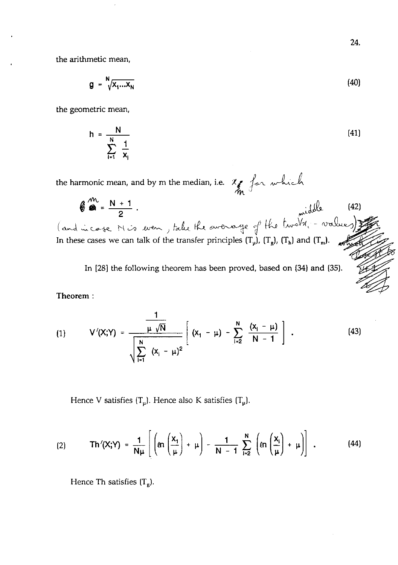the arithmetic mean,

$$
g = \sqrt[N]{x_1...x_N}
$$
 (40)

the geometric mean,

$$
h = \frac{N}{\sum_{i=1}^{N} \frac{1}{x_i}}
$$
 (41)

the harmonic mean, and by m the median, i.e.

 $\theta = \frac{N+1}{2}$  (42) and incase Mis even, take the average of the two  $\sqrt{v}$ . A In these cases we can talk of the transfer principles  $(T_\mu)$ ,  $(T_g)$ ,  $(T_h)$  and  $(T_m)$ .

In [28] the following theorem has been proved, based on **(34)** and (35).

Theorem :

(1) 
$$
V'(X;Y) = \frac{\frac{1}{\mu \sqrt{N}}}{\sqrt{\sum_{i=1}^{N} (x_i - \mu)^2}} \left[ (x_1 - \mu) - \sum_{i=2}^{N} \frac{(x_i - \mu)}{N - 1} \right].
$$
 (43)

Hence V satisfies  $(T_{\mu})$ . Hence also K satisfies  $(T_{\mu})$ .

$$
(2) \tTh'(X;Y) = \frac{1}{N\mu}\left[\left(\ln\left(\frac{x_1}{\mu}\right) + \mu\right) - \frac{1}{N-1}\sum_{i=2}^{N}\left(\ln\left(\frac{x_i}{\mu}\right) + \mu\right)\right].
$$
 (44)

Hence Th satisfies  $(T_g)$ .

24.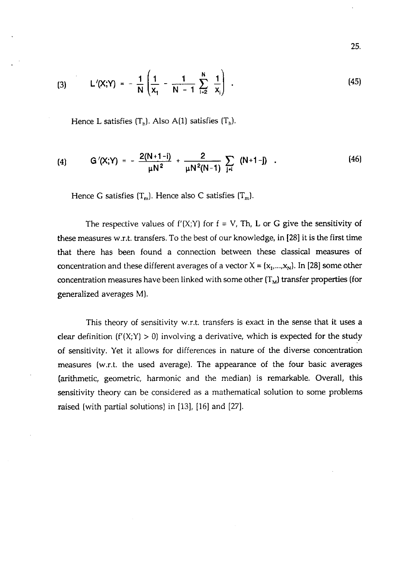$$
^{25}
$$

(3) 
$$
L'(X;Y) = -\frac{1}{N} \left( \frac{1}{x_1} - \frac{1}{N-1} \sum_{i=2}^{N} \frac{1}{x_i} \right).
$$
 (45)

Hence L satisfies  $(T_h)$ . Also A(1) satisfies  $(T_h)$ .

(4) 
$$
G'(X;Y) = -\frac{2(N+1-i)}{\mu N^2} + \frac{2}{\mu N^2(N-1)} \sum_{j \neq i} (N+1-j)
$$
 (46)

Hence G satisfies  $(T_m)$ . Hence also C satisfies  $(T_m)$ .

The respective values of  $f'(X;Y)$  for  $f = V$ , Th, L or G give the sensitivity of these measures w.r.t. transfers. To the best of our knowledge, in [28] it is the first time that there has been found a connection between these classical measures of concentration and these different averages of a vector  $X = (x_1,...,x_N)$ . In [28] some other concentration measures have been linked with some other  $(T_M)$  transfer properties (for generalized averages M).

This theory of sensitivity w.r.t. transfers is exact in the sense that it uses a clear definition  $(f'(X;Y) > 0)$  involving a derivative, which is expected for the study of sensitivity. Yet it allows for differences in nature of the diverse concentration measures (w.r.t. the used average). The appearance of the four basic averages (arithmetic, geometric, harmonic and the median) is remarkable. Overall, this sensitivity theory can be considered as a mathematical solution to some problems raised (with partial solutions) in [13], [16] and [27].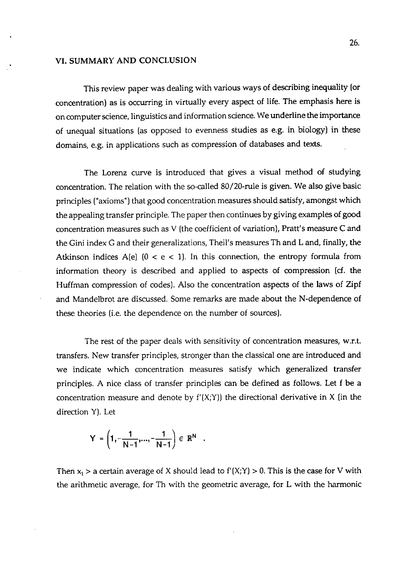#### **VI. SUMMARY AND CONCLUSION**

This review paper was dealing with various ways of describing inequality (or concentration) as is occurring in virtually every aspect of life. The emphasis here is on computer science, linguistics and information science. We underline the importance of unequal situations (as opposed to evenness studies as e.g. in biology) in these domains, e.g. in applications such as compression of databases and texts.

The Lorenz curve is introduced that gives a visual method of studying concentration. The relation with the so-called 80/20-rule is given. We also give basic principles ("axioms") that good concentration measures should satisfy, amongst which the appealing transfer principle. The paper then continues by giving examples of good concentration measures such as V (the coefficient of variation), Pratt's measure *C* and the Gini index G and their generalizations, Theil's measures Th and L and, finally, the Atkinson indices  $A(e)$  ( $0 < e < 1$ ). In this connection, the entropy formula from information theory is described and applied to aspects of compression **(d.** the Huffman compression of codes). Also the concentration aspects of the laws of Zipf and Mandelbrot are discussed. Some remarks are made about the N-dependence of these theories (i.e. the dependence on the number of sources).

The rest of the paper deals with sensitivity of concentration measures, w.r.t. transfers. New transfer principles, stronger than the classical one are introduced and we indicate which concentration measures satisfy which generalized transfer principles. A nice class of transfer principles can be defined as follows. Let f be a concentration measure and denote by  $f'(X;Y)$  the directional derivative in X (in the direction Y). Let

$$
Y = \left(1, -\frac{1}{N-1}, ..., -\frac{1}{N-1}\right) \in \mathbb{R}^N
$$

Then  $x_1 > a$  certain average of X should lead to  $f'(X;Y) > 0$ . This is the case for V with the arithmetic average, for Th with the geometric average, for L with the harmonic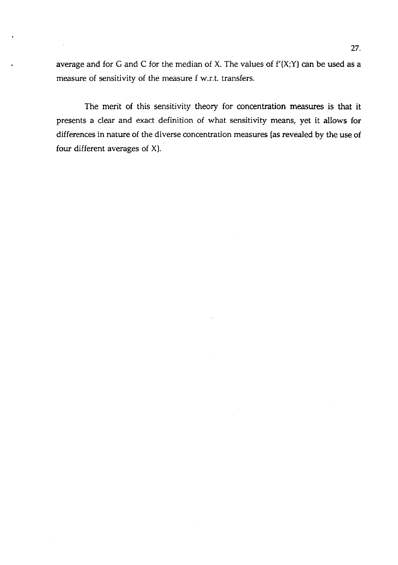average and for G and C for the median of X. The values of  $f'(X;Y)$  can be used as a measure of sensitivity of the measure f w.r.t. transfers.

The merit of this sensitivity theory for concentration measures is that it presents a clear and exact definition of what sensitivity means, yet it allows for differences in nature of the diverse concentration measures (as revealed by the use of four different averages of X).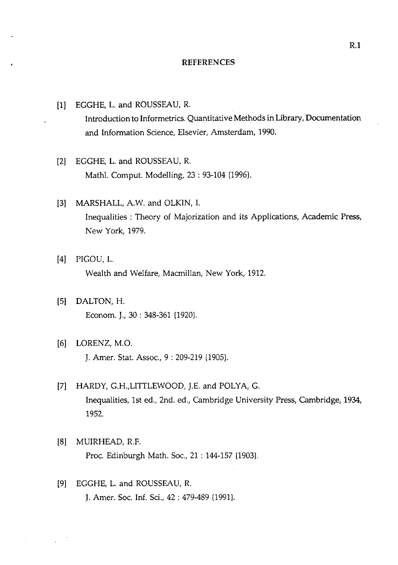#### **REFERENCES**

- [I] EGGHE, L. and ROUSSEAU, R. Introduction to Informetrics. Quantitative Methods in Library, Documentation and Information Science, Elsevier, Amsterdam, 1990.
- [2] EGGHE, L. and ROUSSEAU, R. Mathl. Comput. Modelling, 23 : 93-104 (1996).
- **[3]** MARSHALL, A.W. and OLKIN, I. Inequalities : Theory of Majorization and its Applications, Academic Press, New York. 1979.
- [4] PIGOU, L. Wealth and Welfare, Macmillan, New York, 1912.
- [5] DALTON, H. Econom. J., 30 : 348-361 (1920).
- [6] LORENZ, M.O. J. Amer. Stat. Assoc., 9 : 209-219 (1905).
- [7] HARDY, G.H.,LITTLEWOOD, J.E. and POLYA, G. Inequalities, 1st ed., 2nd. ed., Cambridge University Press, Cambridge, 1934, 1952.
- [8] MUIRHEAD, R.F. Proc. Edinburgh Math. Soc., 21 : 144-157 (1903).
- [9] EGGHE, L. and ROUSSEAU, R. J. Amer. Soc. Inf. Sci., 42 : 479489 [1991).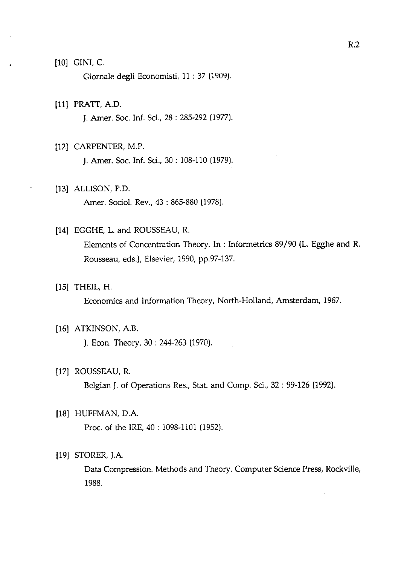### [10] GINI, C.

Giornale degli Economisti, 11 : 37 (1909).

#### [Ill PRATT, A.D.

J. Amer. Soc. Inf. Sci., 28 : 285-292 (1977).

# (121 CARPENTER, M.P.

J. Amer. Soc. Inf. Sci., 30 : 108-110 (1979).

# [13] ALLISON, P.D.

Amer. Sociol. Rev., 43 : 865-880 (1978).

#### [14] EGGHE, L. and ROUSSEAU, R.

Elements of Concentration Theory. In : Informetrics 89/90 (L. Egghe and R. Rousseau, eds.), Elsevier, 1990, pp.97-137.

# [15] THEIL, H.

Economics and Information Theory, North-Holland, Amsterdam, 1967.

#### [16] ATKINSON, A.B.

J. Econ. Theory, 30 : 244-263 (1970)

# [17] ROUSSEAU, R.

Belgian J. of Operations Res., Stat. and Comp. Sci., 32 : 99-126 (1992).

### [I81 HUFFMAN, D.A.

Proc. of the IRE, 40 : 1098-1101 (1952).

# [19] STORER, J.A.

Data Compression. Methods and Theory, Computer Science Press, Rockville, 1988.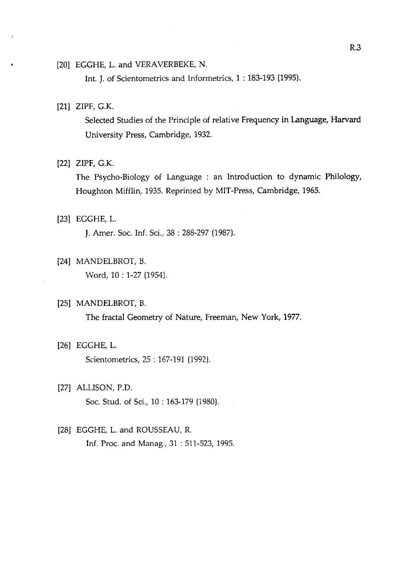# [20] EGGHE, L. and VERAVERBEKE, N.

Int. J. of Scientometrics and Informetrics, 1 : 183-193 (1995).

### [21] ZIPF, G.K.

Selected Studies of the Principle of relative Frequency in Language, **Harvard**  University Press, Cambridge, 1932.

## [22] ZIPF, G.K.

The Psycho-Biology of Language : an Introduction to dynamic Philology, Houghton Mifflin, 1935. Reprinted by MIT-Press, Cambridge, 1965.

# [23] EGGHE, L.

J. Amer. Soc. Inf. Sci., 38 : 288-297 (1987).

# [24] MANDELBROT, B.

Word, 10: 1-27 (1954).

### [25] MANDELBROT, B.

The fractal Geometry of Nature, Freeman, New York, 1977.

# [26] EGGHE, L.

Scientometrics, 25 : 167-191 (1992).

# [27] ALLISON, P.D.

Soc. Stud. of Sci., 10 : 163-179 (1980)

# [28] EGGHE, L. and ROUSSEAU, R. Inf. Proc. and Manag., 31 : 511-523, 1995.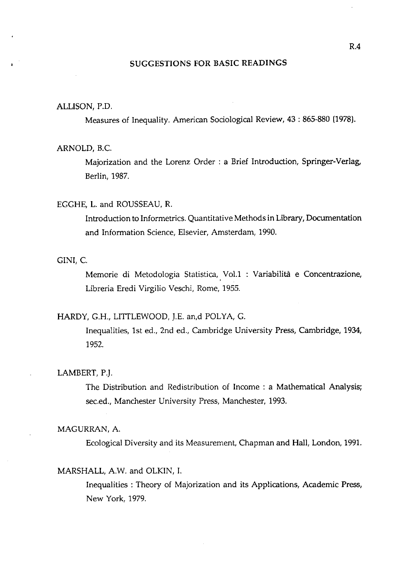# SUGGESTIONS FOR BASIC READINGS

### ALLISON, P.D.

Measures of Inequality. American Sociological Review, **43** : 865-880 (1978).

#### ARNOLD, B.C.

Majorization and the Lorenz Order : a Brief Introduction, Springer-Verlag, Berlin, 1987.

## EGGHE, L. and ROUSSEAU, R.

Introduction to Informetrics. Quantitative Methods in Library, Documentation and Information Science, Elsevier, Amsterdam, 1990.

# GINI, C.

Memorie di Metodologia Statistica, Vol.1 : Variabilità e Concentrazione, Libreria Eredi Virgilio Veschi, Rome, 1955.

#### HARDY, G.H., LITTLEWOOD, J.E. an,d POLYA, G.

Inequalities, 1st ed., 2nd ed., Cambridge University Press, Cambridge, 1934, 1952.

# LAMBERT, P.J.

The Distribution and Redistribution of Income : a Mathematical Analysis; sec.ed., Manchester University Press, Manchester, 1993.

## MAGURRAN, A.

Ecological Diversity and its Measurement, Chapman and Hall, London, 1991.

#### MARSHALL, A.W. and OLKIN, I.

Inequalities : Theory of Majorization and its Applications, Academic Press, New York, 1979.